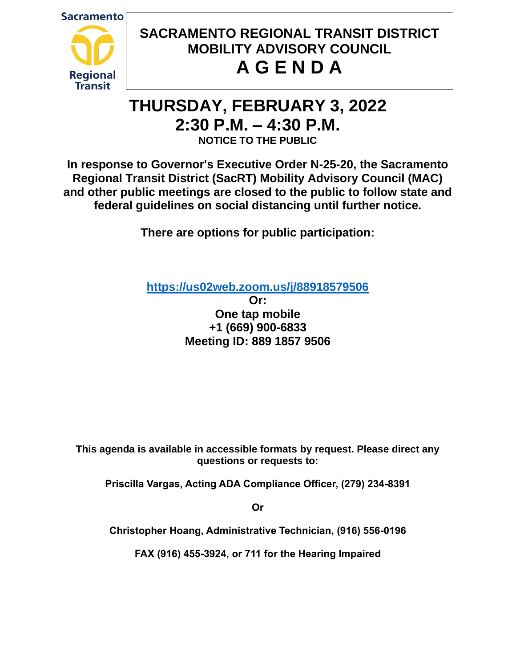**Sacramento** 



# **SACRAMENTO REGIONAL TRANSIT DISTRICT MOBILITY ADVISORY COUNCIL A G E N D A**

# **THURSDAY, FEBRUARY 3, 2022 2:30 P.M. – 4:30 P.M. NOTICE TO THE PUBLIC**

**In response to Governor's Executive Order N-25-20, the Sacramento Regional Transit District (SacRT) Mobility Advisory Council (MAC) and other public meetings are closed to the public to follow state and federal guidelines on social distancing until further notice.**

**There are options for public participation:**

**<https://us02web.zoom.us/j/88918579506>**

**Or: One tap mobile +1 (669) 900-6833 Meeting ID: 889 1857 9506**

**This agenda is available in accessible formats by request. Please direct any questions or requests to:**

**Priscilla Vargas, Acting ADA Compliance Officer, (279) 234-8391**

**Or**

**Christopher Hoang, Administrative Technician, (916) 556-0196**

**FAX (916) 455-3924, or 711 for the Hearing Impaired**